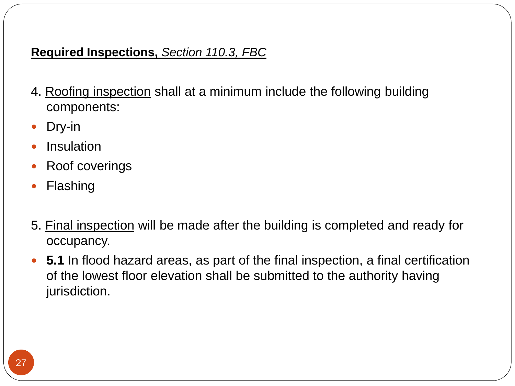# PERMITS, PLANS, INSPECTIONS and OCCUPANCY CLASSIFICATION ADVANCED MODULE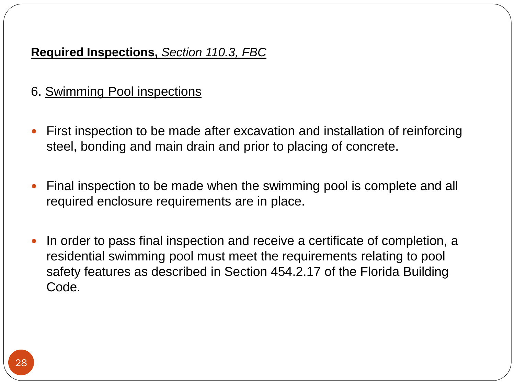### **A. PERMITS:** *Section 105, FBC*

*Section 105, Chapter 1 of the 2014 Florida Building Code (FBC ) 5 th Edition* states that any owner or authorized representative who intends to construct, enlarge, alter, repair, move, demolish, or change the occupancy of a building or structure, or to erect, install, enlarge, alter, repair, remove, convert or replace any required impact-resistant coverings, electrical, gas, mechanical or plumbing system, the installation of which is regulated by the Florida Building Code, or to cause any such work to be done, shall first make application to the building official and obtain the required permit.

**FBC Section 105.1.1 Annual Facility Permit :** An individual may submit an application for an annual facility permit. Instead of having to apply for a permit for each alteration to an existing electrical, gas, mechanical, plumbing or interior nonstructural office system(s), an annual facility permit facilitates routine or emergency service, repair, refurbishing, minor renovations of service systems or manufacturing equipment installations/relocations. The individual must apply for a separate permit for each facility and for each construction trade as applicable. The person making application for the annual facility permit must write on the application a general description of the parameters of work intended to be performed during the year. Should there be any major changes to the system(s), the building official shall be notified of such changes and shall retain the right to make inspections at the facility site as deemed necessary. As the name implies, an annual facility permit is valid for one year from the date it was obtained. The permit holder is required to maintain a log of all alterations made under such annual permit and the building official shall have access to such records at all times.

## Food Permit, *Section 105.1.3, FBC*

For food establishment or retail store, a permit from the Department of Agriculture and Consumer Services is required according to S*ection 500.12, Florida Statues.*

## **As stated in Section 500.12(1)(a) F.S. the following are exempt from obtaining a food permit:**

1. Persons operating minor food outlets, including, but not limited to, video stores, that sell commercially prepackaged, non potentially hazardous candy, chewing gum, soda, or popcorn, provided the shelf space for those items does not exceed 12 linear feet and no other food is sold by the minor food outlet.

2. Persons subject to continuous, onsite federal or state inspection.

3. Persons selling only legumes in the shell, either parched, roasted, or boiled.

4. Persons selling sugar cane or sorghum syrup that has been boiled and bottled on a premise located within the State of Florida.

**Section 500.12 F.S.** "*When any person applies for a building permit to construct, convert, or remodel any food establishment, food outlet, or retail food store, the authority issuing such permit shall make available to the applicant a printed statement, provided by the department, regarding the applicable sanitation requirements for such establishments."*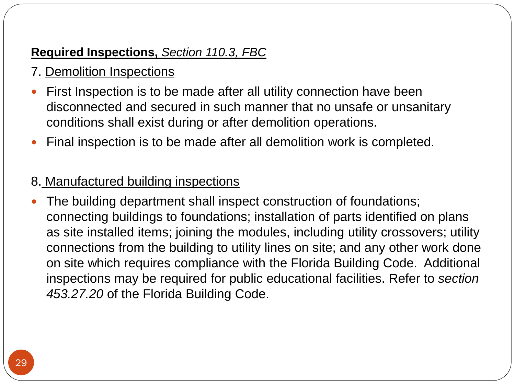## Section 500.12(4)(a) and Section 500.12(4)(b) Florida Statutes

The Department of Agriculture and Consumer Services may suspend immediately the permit if it finds that any of the conditions of the permit have been violated under *section 500.12 Florida Statutes*. The holder of a permit whose permit has been suspended may at any time apply for the reinstatement of the food permit. The department shall immediately after prompt hearing and an inspection of the establishment, reinstate such permit if the building department finds that adequate measures have been taken to comply with and maintain the conditions of the permit, as originally issued, or as amended. The building department shall have access to any food establishment for the purpose of ascertaining compliance with *section 500.12 Florida Statutes*. Denial of allowing the building department to inspect the premises is ground for suspending the permit until access to the food establishment is freely given by the operator.

## Starting work before being issued a permit, *Section 105.12, FBC*

Only upon the approval of the building official, the scope of work described in the building permit application and plans may be started prior to the issuance of a permit. Provided that any work completed is entirely at the risk of the permit applicant and the work does not proceed past the first required inspection.

**Work commencing before permit issuance, Section 109.4, FBC:** Any person who commences any work on a building, structure, electrical, gas, mechanical, or plumbing system before obtaining the building official's approval or the necessary permits shall be subject to a fee established by the building official that shall be addition to the required permit fees.

## **B. PERMIT EXEMPTIONS:** *Section 105.2, FBC*

There are several jobs that do not require a permit, but such work shall be executed according to code. Any construction work, whether a permit is required or not, shall comply with the provisions of the Florida Building Code.

The following are considered such exemptions:

**For Gas**: Portable heating appliance and replacement of minor parts in equipment without altering its approval or make it unsafe.

**For Mechanical:** Portable heating, ventilation and cooling unit, piping of steam; hot or chilled water within any heating or cooling equipment regulated by F.B.C., replacement of parts without altering its approval or make it unsafe, portable evaporative cooler, self-contained refrigeration system of less than 10 pounds of refrigerant and actuated by 1 hp or less, any load management control device installation, replacement, removal or metering.

**For Plumbing:** the stopping of leaks in plumbing fixtures without removing and replacing pipes with new material. Repairs that do not involve the replacement or rearrangement of valves, pipes or fixtures do not require a permit. However, if any concealed trap, drainpipe, water, soil, waste or vent pipe becomes defective and it becomes necessary to remove and replace the same with new material, that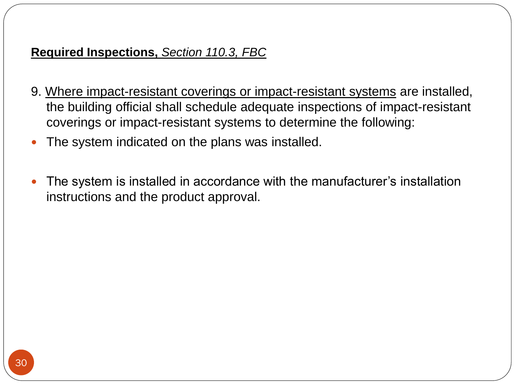work shall be considered as new work and a permit is required for such work. Inspections will also be required for the new work.

## Emergency Repairs, *Section 105.2.1, FBC*

In emergency situations, equipment replacement and repairs can be executed without a permit, however, the permit application shall be submitted on the next working day to the building official.

#### Minor Repairs, *Section 105.2.2, FBC*

Minor repairs can be done without a permit given that such work complies with the Florida Building Code and approval from the building official is obtained to commence work without a permit.

Ordinary minor repairs does not include cutting away of any wall, partition or portion thereof, the removal or cutting of any structural beam or load-bearing support, or the removal or change of any required means of egress, or rearrangement of parts of a structure affecting the egress requirements.

Ordinary minor repairs also do not include addition to, alteration of, replacement or relocation of any standpipe, water supply, sewer, drainage, drain leader, gas, soil, waste, vent or similar piping, electric wiring systems or mechanical equipment or other work affecting public health or general safety, and shall not violate any technical codes.

## **C. PERMIT APPLICATION** *(Section 105.3, FBC)*

In order to obtain a permit, an individual must first file an application on a form furnished by the building department. Permit application forms must comply with the requirements of *Section 713.135(5) & (6) F.S.* Each application shall be inscribed with the date of application, and the code in effect as of that date. For a building permit which an application is submitted prior to the effective date of the Florida Building Code, the state minimum building code in effect in the permitting jurisdiction on the date of the application governs the permitted work for the life of the permit and any extension granted to the permit.

\*\*\*\*\*\*\*\*\*\*\*\*\*\*\*\*\*\*\*\*\*\*\*\*\*\*\*\*\*\*\*\*\*\*\*\*\*\*\*x\*\*\*\*\*\*\*\*\*\*\*\*\*\*\*\*\*\*\*\*\*\*\*\*\*\*\*\*\*\*\*\*\*\*\*\*\*\*\*\*\*\*\*\*\*

## *Section 713.135(5) & (6) Florida Statutes*

Tax Folio No.

## **BUILDING PERMIT APPLICATION**

Owner's Name \_\_\_\_\_\_\_\_\_\_

Owner's Address \_\_\_\_\_\_\_\_\_

Fee Simple Titleholder's Name (If other than owner)

Fee Simple Titleholder's Address (If other than owner) \_\_\_\_\_\_\_\_\_\_\_\_\_\_\_\_\_\_\_\_\_\_\_\_\_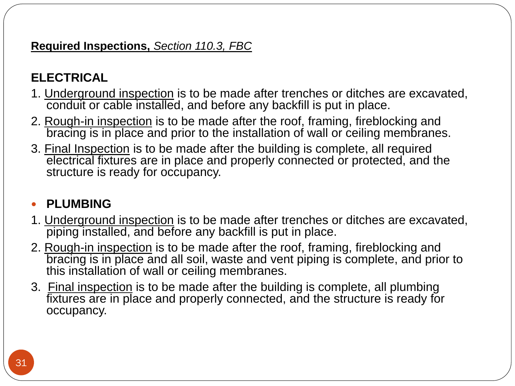| $City$ ________                          |
|------------------------------------------|
| State__________________ Zip____________  |
| Contractor's Name___________             |
| Contractor's Address __________          |
|                                          |
| State__________________ Zip____________  |
| Job Name                                 |
| Job Address_______________               |
| City_____________  County___________     |
| Legal Description ____________           |
| Bonding Company______________            |
| Bonding Company Address _____________    |
|                                          |
| Architect/Engineer's Name_____________   |
| Architect/Engineer's Address____________ |
| Mortgage Lender's Name___________        |
| Mortgage Lender's Address___________     |

Application is hereby made to obtain a permit to do the work and installations as indicated. I certify that no work or installation has commenced prior to the issuance of a permit and that all work will be performed to meet the standards of all laws regulating construction in this jurisdiction. I understand that a separate permit must be secured for ELECTRICAL WORK, PLUMBING, SIGNS, WELLS, POOLS, FURNACES, BOILERS, HEATERS, TANKS, and AIR CONDITIONERS, etc.

**OWNER'S AFFIDAVIT**: I certify that all the foregoing information is accurate and that all work will be done in compliance with all applicable laws regulating construction and zoning.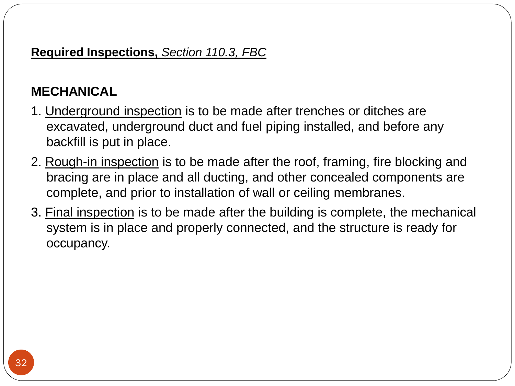**WARNING TO OWNER**: YOUR FAILURE TO RECORD A NOTICE OF COMMENCEMENT MAY RESULT IN YOUR PAYING TWICE FOR IMPROVEMENTS TO YOUR PROPERTY. A NOTICE OF COMMENCEMENT MUST BE RECORDED AND POSTED ON THE JOB SITE BEFORE THE FIRST INSPECTION.

IF YOU INTEND TO OBTAIN FINANCING, CONSULT WITH YOUR LENDER OR AN ATTORNEY BEFORE COMMENCING WORK OR RECORDING YOUR NOTICE OF COMMENCEMENT.

(Signature of Owner or Agent)

(including contractor)

STATE OF FLORIDA

COUNTY OF \_\_\_\_\_\_\_\_\_\_

Sworn to (or affirmed) and subscribed before me this \_\_\_\_\_ day of \_\_\_\_\_ , (year), by (name of person making statement) .

(Signature of Notary Public - State of Florida)

(Print, Type, or Stamp Commissioned Name of Notary Public)

Personally Known OR Produced Identification

Type of Identification Produced \_\_\_\_\_\_

(Signature of Contractor)

STATE OF FLORIDA

COUNTY OF

Sworn to (or affirmed) and subscribed before me this \_\_\_\_ day of \_\_\_\_\_, (year), by (name of person making statement) .

(Signature of Notary Public - State of Florida)

(Print, Type, or Stamp Commissioned Name of Notary Public)

Personally Known\_\_\_ OR Produced Identification\_\_\_\_\_\_

Type of Identification Produced\_\_\_\_\_\_\_\_

(Certificate of Competency Holder)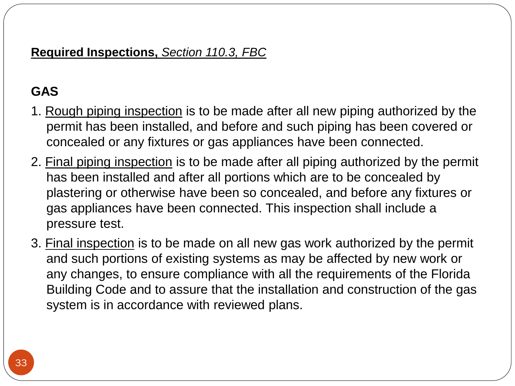## Contractor's State Certification or Registration No.

Contractor's Certificate of Competency No.

#### APPLICATION APPROVED BY

Permit Officer

## \*\*\*\*\*\*\*\*\*\*\*\*\*\*\*\*\*\*\*\*\*\*\*\*\*\*\*\*\*\*\*\*\*\*\*\*\*x\*\*\*\*\*\*\*\*\*\*\*\*\*\*\*\*\*\*\*\*\*\*\*\*\*\*\*\*\*\*\*\*\*\*\*\*\*\*\*\*\*\*\*\*\*\*\*

## Review of Permit Application, *Section 105.3.1, FBC*

The building official shall examine the permit application submitted by the applicant. If the application complies with all requirements, laws and regulations, the building official will issue the permit as soon as practicable. If not, then the building official will reject the application and shall state in writing the reasons for such rejection. When contractual agreement with school board exists, then the building official gives first priority to school or educational facility projects.

### *Section 105.3.1.1, FBC*

The cost for enforcing the Florida Building Code on state university, state community college or public schools projects shall not be more than the actual labor and administrative costs incurred for plan review and inspections.

#### Works that require construction documents along with permit application, *Section 105.3.1.2, FBC*

An applicant to a permit must submit construction documents prepared by or under the direction of an engineer registered under Chapter 471, Florida Statutes along with the permit application for any building construction, erection, alteration, modification, repair, or addition when such permit to be issued applies to any one of the following jobs listed below. The applicant will not be issued a permit unless he/she provides the required construction documents which apply to the construction.

1. **Plumbing plans** for any new building or addition which requires a plumbing system with more than 250 fixture units or cost more than \$125,000.00

2. **Fire sprinkler documents** for any new building or addition which includes a fire sprinkler system which contains 50 or more sprinkler heads. Personnel as authorized by chapter 633 Florida Statutes, may design a fire sprinkler system of 49 or fewer heads and may design the alteration of an existing fire sprinkler system if the alteration consist of the relocation, addition or deletion of not more than 49 heads, notwithstanding the size of the existing fire sprinkler system.

3. **Heating, ventilation and air conditioning documents** for new building or addition requiring more than 15 tons per system designed to accommodate 100 or more persons or cost more than \$125,000.00. System documents with capacity or cost less than described above can be certified by a contractor as per *Chapter 489, F.S.*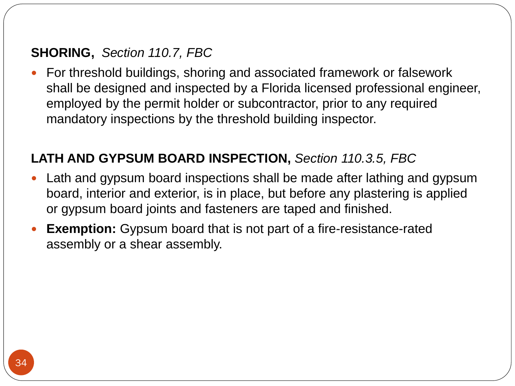4. **Any specialized mechanical, electrical, or plumbing document** for any new building or addition which includes a medical gases, oxygen, steam, vacuum, toxic air filtration, halon, or fire detection and alarm system which costs more than \$5,000.

## 5. **For electrical documents. See Florida Statutes, Section 471.003(2)(h).**

*Documents requiring an engineer seal by this part shall not be valid unless a professional engineer who possesses a valid certificate of registration has signed, dated, and stamped such documents as provided in Section 471.025, Florida Statutes.* 

**As stated in the Florida Statutes, the following person is not required to be licensed under the provisions of Section 471.003(2)(h) Florida Statutes as a licensed engineer***.* An electrical contractor whose practice includes the design and fabrication of electrical system which she or he installs by virtue of a license issued under chapter 489, under part I of chapter 553, or under any special act or ordinance when working on any construction project which:

a. Requires an electrical system with a value of 125,000.00 or less and;

b. Requires an aggregate service capacity of 600 amperes (240 volts) or less on a residential electrical system or 800 amperes (240 volts) or less on a commercial or industrial electrical system.

6. **All public swimming pools and public bathing places** defined by and regulated under Chapter 514, Florida Statutes.

## **D. TIME LIMITATION OF APPLICATION:** *Section 105.3.2, FBC*

Permit applications have a time period of 180 days after the date of filing them. The building official has the authority of granting extensions of 90 days. The request must be made in writing and demonstrate justifiable cause for the expiration.

Section 105.3.3, FBC

A permit issued by a building official shall have on the face or attached to the permit the following statement;

**NOTICE: In addition to the requirements of this permit, there may be additional restrictions applicable to this property that may be found in the public records of this county, and there may be additional permits required from other governmental entities such as water management districts, state agencies, or federal agencies.**

## *Section 105.3.4, FBC*

For a single family residential dwelling building permit, 30 working days shall be the process time, unless unusual circumstances require a longer time for processing or the permit application fails to satisfy the Florida Building Code, laws or ordinances.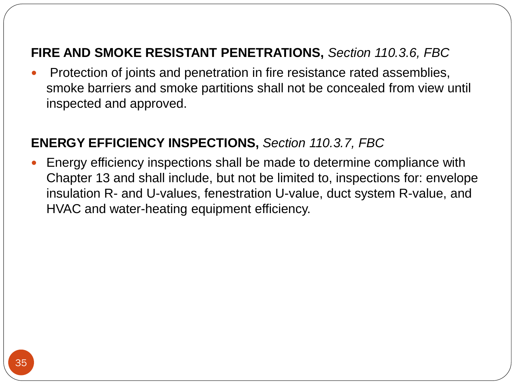## Coverage of Workers Compensation, *Section 105.3.5, FBC*

As a condition to receiving a building permit, every employer making application for a permit must show proof that he/she has secured workers compensation for its employees as provided in *Section 440.10 and 440.38 F.S.* **Chapter 440 of the Florida Statutes** is also called "The Workers Compensation Law."

## **E. ASBESTOS REMOVAL** *(Section 105.3.6, FBC)*

The State law requires asbestos moving, removal, or disposal of asbestos-containing materials to be done by licensed contractors. Residential owners with a property which will not be sold or rented within 1 year after the removal of asbestos may be exempted from this regulation provided that owner personally appears at the building department, fills out and signs a permit application stating that the property will not be sold or rented out within 1 year after the asbestos removal. In addition, the owner must state that he/she will act as the contractor and perform the work in compliance with all codes and regulations.

**(Section 105.9, FBC) Abestos**: Owner or representative with building permit for demolition or renovation of an existing structure with asbestos shall be enforced to comply with *Section 469.003, F.S.* and notify the Department of Environmental Protection the intention of removing asbestos, when applicable, in accordance with state and federal law.

## **F. CONDITIONS OF THE PERMIT** *(Section 105.4.1, FBC)*

The permit does not give authority to perform the construction in violation of the Florida Building Code and the technical codes. Any non compliance in plans or in the construction shall be enforced by the building official to be corrected.

Construction shall start within 6 months after issuance of permit; otherwise the permit will be invalided. If the project is abandoned for a period of 6 months after the time that the work commenced, the permit will be invalided as well.

A new permit is required before proceeding with the work if the permit becomes revoked, null and void, or expires.

The building official will enforce to remove the construction if a new permit is not obtained within 180 days from the date the initial permit became null and void. If a new permit is obtained, the project shall comply with regulations and rules effective between the date of expiration and the date of issuance of the new permit. Approved inspections within 180 days shall be received in order to consider the work active progress.

## *Section 105.7, FBC*

During construction and until the completion of the project, the permit or copy shall be kept on the job site.

## *Section 105.8, FBC*

It is the obligation of the building department to print on the face of a permit a warning to owner that he/she shall record a notice of commencement. The filing of a notice of commencement is to provide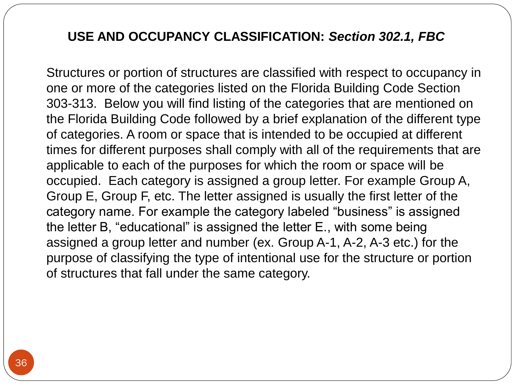protection under the Construction Lien Law and to avoid the possibility of the owner having to pay twice for improvements on his/her property.

#### **NOTICE OF COMMENCEMENT:** *Section 105.8, FBC*

As per Section 713.135, Florida Statues, when any person applies for a building permit, the authority issuing such permit shall print on the face of each permit card in no less than 14-point, capitalized, boldfaced type:

**"WARNING TO OWNER: YOUR FAILURE TO RECORD A NOTICE OF COMMENCEMENT MAY RESULT IN YOUR PAYING TWICE FOR IMPROVEMENTS TO YOUR PROPERTY. A NOTICE OF COMMENCEMENT MUST BE RECORDED AND POSTED ON THE JOB SITE BEFORE THE FIRST INSPECTION. IF YOU INTEND TO OBTAIN FINANCING, CONSULT WITH YOUR LENDER OR AN ATTORNEY BEFORE RECORDING YOUR NOTICE OF COMMENCEMENT."**

A notice of commencement contains detailed information about the project such as property owner, financial institution, jobsite address, contractor, etc., and protects the property owner's title to the property. As per *Section 713.13 Florida Statues* a notice of commencement must be in substantially the following form:

\*\*\*\*\*\*\*\*\*\*\*\*\*\*\*\*\*\*\*\*\*\*\*\*\*\*\*\*\*\*\*\*\*\*\*\*\*\*\*\*\*\*\*\*\*\*\*\*\*\*\*\*\*\*x\*\*\*\*\*\*\*\*\*\*\*\*\*\*\*\*\*\*\*\*\*\*\*\*\*\*\*\*\*\*\*\*\*\*\*\*\*\*\*\*\*\*\*\*\*\*\*\*\*\*\*\*\*\*\*\*\*\*\*\*\*\*\*\*\*\*\*\*\*\*\*\*\*\*\*\*\*\*

## *Section 713.13 Florida Statutes*

Permit No. \_\_\_\_\_\_\_\_\_\_\_\_\_\_\_ Tax Folio No. \_\_\_\_\_\_\_\_\_

**NOTICE OF COMMENCEMENT**

State of \_\_\_\_\_\_

County of \_\_\_\_\_\_\_

The undersigned hereby gives notice that improvement will be made to certain real property, and in accordance with Chapter 713, Florida Statutes, the following information is provided in this Notice of Commencement.

1. Description of property: (legal description of the property, and street address if available)\_\_\_\_\_\_\_

2. General description of improvement:\_\_\_\_\_\_\_\_\_\_\_

- 3. Owner information or Lessee information if the Lessee contracted for the improvement:
- a. Name and address:\_\_\_\_\_\_\_
- b. Interest in property: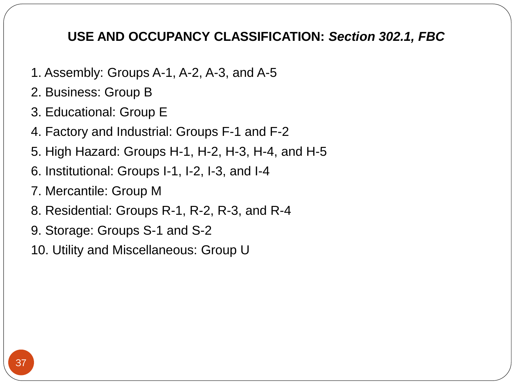c. Name and address of fee simple titleholder (if different from Owner listed above):

4.a. Contractor: (name and address)\_\_\_\_\_\_\_\_\_

b. Contractor's phone number: \_\_\_\_\_\_\_\_\_\_\_\_

5. Surety (if applicable, a copy of the payment bond is attached): \_\_\_\_\_\_\_\_\_\_\_\_\_

- a. Name and address: \_\_\_\_\_\_\_\_\_\_\_\_\_\_\_
- b. Phone number:
- c. Amount of bond: \$\_\_\_\_\_\_\_\_\_\_\_\_

6.a. Lender: (name and address) \_\_\_\_\_\_\_\_\_\_\_\_

b. Lender's phone number:

7. Persons within the State of Florida designated by Owner upon whom notices or other documents may be served as provided by Section [713.13\(](http://flsenate.gov/Laws/Statutes/2011/713.13)1)(a)7., Florida Statutes:

a. Name and address: \_\_\_\_\_\_\_\_\_\_\_

b. Phone numbers of designated persons:

8.a. In addition to himself or herself, Owner designates \_\_\_\_\_\_\_ of \_\_\_\_\_\_\_ to receive a copy of the Lienor's Notice as provided in Section  $713.13(1)(b)$ , Florida Statutes.

b. Phone number of person or entity designated by owner: \_\_\_\_\_\_\_\_\_\_\_\_\_\_\_\_\_\_\_\_\_\_\_

9. Expiration date of notice of commencement (the expiration date may not be before the completion of construction and final payment to the contractor, but will be 1 year from the date of recording unless a different date is specified)\_\_\_\_\_\_\_\_\_\_\_\_\_\_\_.

**WARNING TO OWNER:** ANY PAYMENTS MADE BY THE OWNER AFTER THE EXPIRATION OF THE NOTICE OF COMMENCEMENT ARE CONSIDERED IMPROPER PAYMENTS UNDER CHAPTER 713, PART I, SECTION 713.13, FLORIDA STATUTES, AND CAN RESULT IN YOUR PAYING TWICE FOR IMPROVEMENTS TO YOUR PROPERTY. A NOTICE OF COMMENCEMENT MUST BE RECORDED AND POSTED ON THE JOB SITE BEFORE THE FIRST INSPECTION. IF YOU INTEND TO OBTAIN FINANCING, CONSULT WITH YOUR LENDER OR AN ATTORNEY BEFORE COMMENCING WORK OR RECORDING YOUR NOTICE OF COMMENCEMENT.

Under penalty of perjury, I declare that I have read the foregoing notice of commencement and that the facts stated therein are true to the best of my knowledge and belief.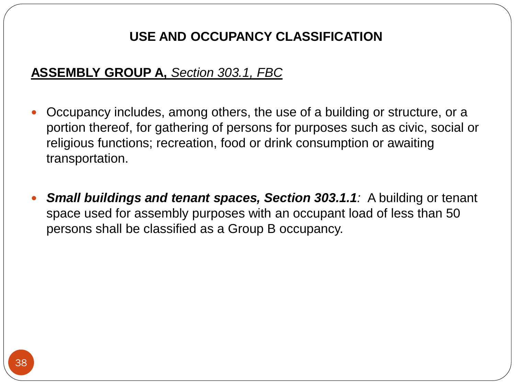(Signature of Owner or Lessee, or Owner's or Lessee's Authorized Officer/Director/Partner/Manager)

(Signatory's Title/Office)

The foregoing instrument was acknowledged before me this day of , (year) , by (name of person) as (type of authority, . . . e.g. officer, trustee, attorney in fact) for (name of party on behalf of whom instrument was executed) .

(Signature of Notary Public - State of Florida)

(Print, Type, or Stamp Commissioned Name of Notary Public)

Personally Known OR Produced Identification

Type of Identification Produced

\*\*\*\*\*\*\*\*\*\*\*\*\*\*\*\*\*\*\*\*\*\*\*\*\*\*\*\*\*\*\*\*\*\*x\*\*\*\*\*\*\*\*\*\*\*\*\*\*\*\*\*\*\*\*\*\*\*\*\*\*\*\*\*\*\*\*\*\*\*\*\*\*\*\*\*\*\*\*\*\*\*\* Permits issued on basis of an Affidavit, *Section 105.14, FBC*

Whenever permits are issued in reliance upon an affidavit, the Architect or Engineer who signed such affidavit or prepared the drawings or computations, shall be responsible for inspection reports and supervision of the construction for permits issued on basis of an affidavit. The Architect or Engineer will be responsible for complying to the permit, provide copies of inspection reports as inspections are performed, and upon completion of the project make and file with the building department written affidavit that the work has been done in compliance to the reviewed plans and with the structural provisions of the technical codes. If an Architect or Engineer is not available, the owner may employ a qualified person or agency to do the reports, approved by the building official and comply with *Chapter 468 F.S.*

#### **G. CONSTRUCTION DOCUMENTS:** *Section 107, FBC*

#### Submittal: *Section 107.1 F.B.C.*

Construction documents shall be prepared by a design professional where required by the statutes. (Architect as per Chapter 481, F.S.; Engineer as per Chapter 471, F.S.; Landscape Architect as per Chapter 481, F.S. part II). Along with the construction documents, any other data and a statement of special inspections shall be submitted in one or more sets with each application for a permit. Should special conditions exist, the building official has the authority to require from applicant additional construction documents.

**Exception**: If the building official finds that the nature of the work applied for is such that a review of construction documents is not necessary to obtain compliance with the Florida Building Code, the building official has the authority to waive the submission of construction documents and other data not required to be prepared by a registered design professional.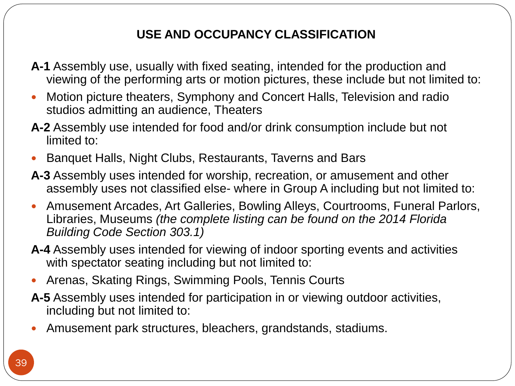## *Section 107.3.4.2, FBC*

Contractors authorized under the provisions of *section 489.115(4)(b) Florida Statutes*, are allowed to seal plans and specifications for plans review for permitting purposes relating to compliance with the wind resistance provisions of the Florida Building Code or alternate methodologies approved by the Florida Building Commission for one and two family dwellings. Local enforcement agencies may rely upon such certification by contractors that the plans and specifications submitted obey the requirements of the Florida Building Code for wind resistance. Upon good cause shown, local government code enforcement agencies may accept or reject plans sealed by persons licensed under Ch. 471 (Engineering), Ch. 481 (Architecture, Interior Design, and Landscape Architecture), or Ch. 489 (Contracting).

### Information on Construction Documents, *Section 107.2.1, FBC*

The construction documents shall be clear to describe the location, nature and extent of work proposed and show in detail compliance to the provisions of the Florida Building Code, revelant laws, ordinances, rules and regulations.

**Fire Protection System shop drawings:** Shop drawings for the fire protection system(s) shall be submitted to indicate conformance to the Florida Building Code and the construction documents must be approved prior to the start of system installation.

**Means of Egress:** The construction documents shall show in sufficient detail the location, construction, size and character of all portions of the means of egress including the path of the exit discharge to the public way in compliance with the provisions of Florida Building Code. In other than occupancies in Groups R-2, R-3, and I-1, the construction documents shall designate the number of occupants to be accommodated on every floor, and in all rooms and spaces.

**Exterior wall envelope**: Construction documents for all buildings shall describe the exterior wall envelope in sufficient detail to determine compliance with the Florida Building Code. The construction documents shall provide details of the exterior wall envelope as required, including flashing, intersections and dissimilar materials, corners, end details, control joints, intersections at roof, eaves or parapets, means of drainage, water-resistive membrane and details around openings.

#### Examinations: *Section 107.3 F.B.C.*

Construction documents need to be examined and approved by the building official. They have to comply with codes and laws.

#### **Exception**:

#### As per *Section 553.80(1)(d) F.S.*

1. State-approved manufactured buildings are exempt from local codes enforcing agency plan reviews except for provisions of the code relating to erection, assembly or construction at the site. Erection, assembly and construction at the site are subject to local permitting and inspections.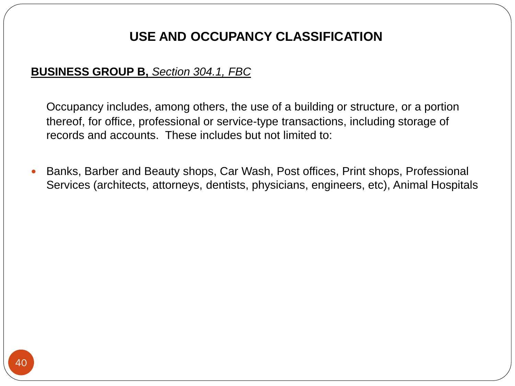#### As per *Section 553.79(2) F.S.*

2. Industrial construction on sites where design, construction and fire safety are supervised by appropriate design and inspection professionals and which contain adequate in-house fire departments and rescues squads is exempt, subject to local government option, from review of plans and inspections, providing owners certify that applicable codes and standards have been met and supply appropriate approved drawings to local building and fire-safety inspectors.

#### Approval of Construction Documents, *Section 107.3.1, FBC*

Once the construction documents are approved by the building official, one set shall be kept in building department and another to be kept on project site for inspections.

*Section 107.3.2, FBC:* The Florida Building Code shall not require changes in the construction documents, construction or designated occupancy of a structure for which a lawful permit has been heretofore issued or otherwise lawfully authorized, and the construction of which has been pursued in good faith within 180 days after the effective date of this code and has not been abandoned.

#### Minimum Criteria for Review of Construction Documents, *Section 107.3.5, FBC*

The construction documents to be examined shall include as a minimum: a floor plan; site plan; foundation plan; floor/roof framing plan or truss layout; all fenestration penetrations; flashing; and all exterior elevations.

*Section 107.3.5 of the F.B.C.* gives a list for commercial and residential building of parts of the project to be shown on drawings for all disciplines involved on it.

#### Amended Construction Documents, *Section 107.4, FBC*

Any changes during the construction that are not in accordance with the approved construction documents shall be resubmitted for approval as an amended set of construction documents.

#### Retention of Construction Documents, *Section 107.5, FBC*

One set of approved construction documents shall be retained by the building official for a period of not less than 180 days from date of completion of the permitted work, or as required by Florida Statues.

#### **H. ACCOUNTABILITY OF LICENSE HOLDERS:** *Section 553.781 F.S.*

Florida Statute finds that accountability for work performed by design professionals and contractors is the key to strong and consistent compliance with the Florida Building Code and, therefore, protection of the public health, safety, and welfare.

If a local jurisdiction determines that a licensee, certificate holder, or registrant licensed under chapter 455 (Board of Professional Regulation), chapter 471 (Engineering), chapter 481 (Architect, Interior Designers), or chapter 489 (Contractors) has committed a material violation of the Florida Building Code and failed to correct the violation within a reasonable time, such local jurisdiction shall impose a fine of no less than \$500 and no more than \$5,000 per material violation.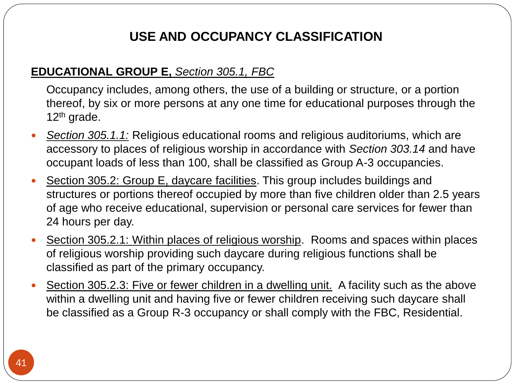#### **What is a material violation?**

As defined in Section 553.781 F.S. a material code violation is a violation that exists within a completed building, structure, or facility which may reasonably result, or has resulted, in physical harm to a person or significant damage to the performance of a building or its systems.

The licensee, certificate holder, or registrant may dispute the violation within 30 days following notification by the local jurisdiction. The fine is halt and the local jurisdiction shall report the dispute to the Department of Business and Professional Regulation or the appropriate professional licensing board for disciplinary investigation and final disposition. If an administrative complaint is filed by the department or the professional licensing board against the certificate holder or registrant, the Florida Building Code Commission may intervene in such proceeding. Any fine imposed by the department or the professional licensing board, pursuant to matters reported by the local jurisdiction to the department or the professional licensing board, shall be divided equally between the board and the local jurisdiction which reported the violation.

Except when the fine is in disciplinary investigation and awaiting final disposition by the Department of Business and Professional Regulation or the appropriate professional licensing board, failure to pay the fine within 30 days shall result in a suspension of the licensee's, certificateholder's, or registrant's ability to obtain permits within the State of Florida until the fine is paid off.

## **I. INSPECTIONS ON CONSTRUCTION OR WORK:** *Section 110, FBC*

All construction work for which a permit is required is subject to inspection by the building official. It is the duty of the permit holder to have the work accessible and exposed for inspection purposes until approved. Neither the building official nor the jurisdiction is liable for any expense involved in removing or replacing any material that is obstructing the work to be inspected. The permit holder or his/her agent shall notify the building official when work is ready for inspection.

Recognizing the many types of works that require permit and inspection, below we mention just a few construction works along with the type of inspection needed for each. When the building official performs the required inspections, he/she will release that portion of the construction or notify the permit holder of any violations that needs to be corrected in order to comply with the technical codes. In the case where a violation is found by the building official for a portion of the construction, the permit holder will have to make the proper corrections.

## **Required Inspections,** *Section 110.3, FBC*

## **BUILDING**

1. Foundation Inspection is to be made after trenches are excavated and forms erected and shall at a minimum include the following building components:

- Stem-wall
- Monolithic slab-on-grade
- Piling/ pile caps
- Footers/grade beams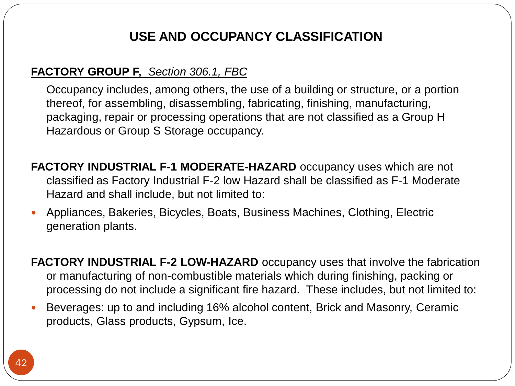**1.1 Building.** In flood hazard areas, upon placement of the lowest floor, including basement, and prior to further vertical construction, the elevation certification shall be submitted to the authority having jurisdiction.

2. Framing Inspection is to be made after the roof, all framing, fireblocking and bracing is in place, all concealing wiring, all pipes, chimneys, ducts and vents are complete and shall at a minimum include the following building components:

- Window/door framing
- Vertical cells/columns
- Lintel/tie beams
- Framing/trusses/bracing/connectors
- Draft stopping/fire blocking
- Curtain wall framing
- Energy insulation
- Accessibility
- Verify rough opening dimensions are within tolerances

3. Sheathing inspection to be made either as part of a dry-in inspection or done separately at the request of the contractor after all roof and wall sheathing and fastners are complete and shall at a minimum include the following building components:

- Roof sheathing
- Wall sheathing
- Sheathing fastners
- Roof/wall dry-in

4. Roofing inspection shall at a minimum include the following building components:

- Dry-in
- **•** Insulation
- Roof coverings
- Flashing

5. Final inspection will be made after the building is completed and ready for occupancy.

**5.1** In flood hazard areas, as part of the final inspection, a final certification of the lowest floor elevation shall be submitted to the authority having jurisdiction.

#### 6. Swimming Pool inspections

First inspection to be made after excavation and installation of reinforcing steel, bonding and main drain and prior to placing of concrete.

Final inspection to be made when the swimming pool is complete and all required enclosure requirements are in place.

In order to pass final inspection and receive a certificate of completion, a residential swimming pool must meet the requirements relating to pool safety features as described in Section 454.2.17 of the Florida Building Code.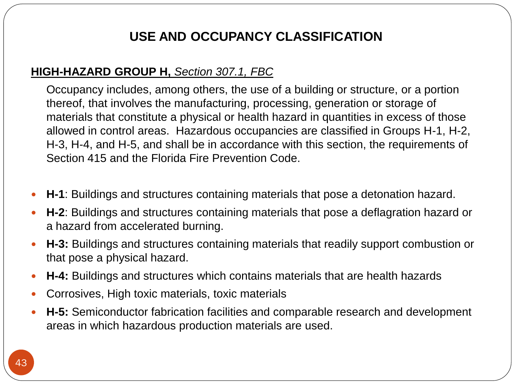## 7. Demolition Inspections

First Inspection is to be made after all utility connection have been disconnected and secured in such manner that no unsafe or unsanitary conditions shall exist during or after demolition operations.

Final inspection is to be made after all demolition work is completed.

## 8. Manufactured building inspections

The building department shall inspect construction of foundations; connecting buildings to foundations; installation of parts identified on plans as site installed items; joining the modules, including utility crossovers; utility connections from the building to utility lines on site; and any other work done on site which requires compliance with the Florida Building Code. Additional inspections may be required for public educational facilities. Refer to *section 453.27.20* of the Florida Building Code.

9. Where impact-resistant coverings or impact-resistant systems are installed, the building official shall schedule adequate inspections of impact-resistant coverings or impact-resistant systems to determine the following:

- The system indicated on the plans was installed.
- The system is installed in accordance with the manufacturer's installation instructions and the product approval.

## **ELECTRICAL**

1. Underground inspection is to be made after trenches or ditches are excavated, conduit or cable installed, and before any backfill is put in place.

2. Rough-in inspection is to be made after the roof, framing, fireblocking and bracing is in place and prior to the installation of wall or ceiling membranes.

3. Final Inspection is to be made after the building is complete, all required electrical fixtures are in place and properly connected or protected, and the structure is ready for occupancy.

## **PLUMBING**

1. Underground inspection is to be made after trenches or ditches are excavated, piping installed, and before any backfill is put in place.

2. Rough-in inspection is to be made after the roof, framing, fireblocking and bracing is in place and all soil, waste and vent piping is complete, and prior to this installation of wall or ceiling membranes.

3. Final inspection is to be made after the building is complete, all plumbing fixtures are in place and properly connected, and the structure is ready for occupancy.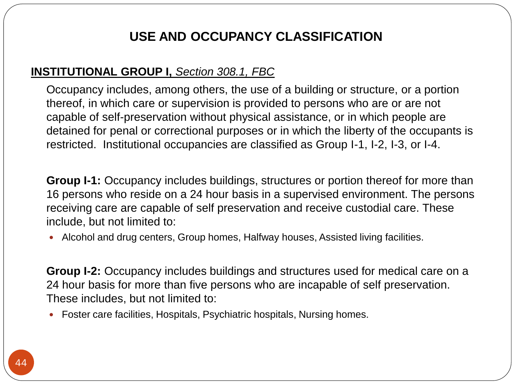### **MECHANICAL**

1. Underground inspection is to be made after trenches or ditches are excavated, underground duct and fuel piping installed, and before any backfill is put in place.

2. Rough-in inspection is to be made after the roof, framing, fire blocking and bracing are in place and all ducting, and other concealed components are complete, and prior to installation of wall or ceiling membranes.

3. Final inspection is to be made after the building is complete, the mechanical system is in place and properly connected, and the structure is ready for occupancy.

### **GAS**

1. Rough piping inspection is to be made after all new piping authorized by the permit has been installed, and before and such piping has been covered or concealed or any fixtures or gas appliances have been connected.

2. Final piping inspection is to be made after all piping authorized by the permit has been installed and after all portions which are to be concealed by plastering or otherwise have been so concealed, and before any fixtures or gas appliances have been connected. This inspection shall include a pressure test. 3. Final inspection is to be made on all new gas work authorized by the permit and such portions of existing systems as may be affected by new work or any changes, to ensure compliance with all the requirements of the Florida Building Code and to assure that the installation and construction of the gas system is in accordance with reviewed plans.

### **SHORING,** *Section 110.7, FBC*

For threshold buildings, shoring and associated framework or falsework shall be designed and inspected by a Florida licensed professional engineer, employed by the permit holder or subcontractor, prior to any required mandatory inspections by the threshold building inspector.

## **LATH AND GYPSUM BOARD INSPECTION,** *Section 110.3.5, FBC*

Lath and gypsum board inspections shall be made after lathing and gypsum board, interior and exterior, is in place, but before any plastering is applied or gypsum board joints and fasteners are taped and finished.

**Exemption:** Gypsum board that is not part of a fire-resistance-rated assembly or a shear assembly.

#### **FIRE AND SMOKE RESISTANT PENETRATIONS,** *Section 110.3.6, FBC*

Protection of joints and penetration in fire resistance rated assemblies, smoke barriers and smoke partitions shall not be concealed from view until inspected and approved.

## **ENERGY EFFICIENCY INSPECTIONS,** *Section 110.3.7, FBC*

Energy efficiency inspections shall be made to determine compliance with Chapter 13 and shall include, but not be limited to, inspections for: envelope insulation R- and U-values, fenestration U-value, duct system R-value, and HVAC and water-heating equipment efficiency.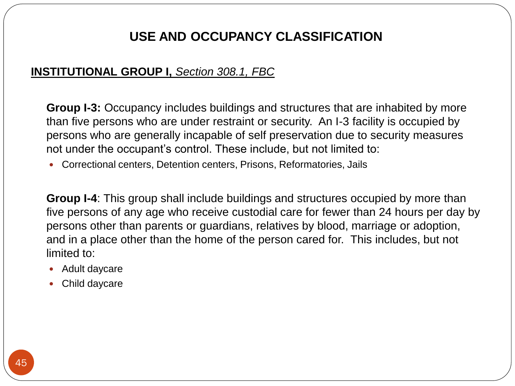## **J. USE AND OCCUPANCY CLASSIFICATION:** *Section 302.1, FBC*

Structures or portion of structures are classified with respect to occupancy in one or more of the categories listed on the Florida Building Code Section 303-313. Below you will find listing of the categories that are mentioned on the Florida Building Code followed by a brief explanation of the different type of categories. A room or space that is intended to be occupied at different times for different purposes shall comply with all of the requirements that are applicable to each of the purposes for which the room or space will be occupied. Each category is assigned a group letter. For example Group A, Group E, Group F, etc. The letter assigned is usually the first letter of the category name. For example the category labeled "business" is assigned the letter B, "educational" is assigned the letter E., with some being assigned a group letter and number (ex. Group A-1, A-2, A-3 etc.) for the purpose of classifying the type of intentional use for the structure or portion of structures that fall under the same category.

- 1. Assembly: Groups A-1, A-2, A-3, and A-5
- 2. Business: Group B
- 3. Educational: Group E
- 4. Factory and Industrial: Groups F-1 and F-2
- 5. High Hazard: Groups H-1, H-2, H-3, H-4, and H-5
- 6. Institutional: Groups I-1, I-2, I-3, and I-4
- 7. Mercantile: Group M
- 8. Residential: Groups R-1, R-2, R-3, and R-4
- 9. Storage: Groups S-1 and S-2
- 10. Utility and Miscellaneous: Group U

## **ASSEMBLY GROUP A,** *Section 303.1, FBC*

Occupancy includes, among others, the use of a building or structure, or a portion thereof, for gathering of persons for purposes such as civic, social or religious functions; recreation, food or drink consumption or awaiting transportation.

*Small buildings and tenant spaces, Section 303.1.1:* A building or tenant space used for assembly purposes with an occupant load of less than 50 persons shall be classified as a Group B occupancy.

**A-1** Assembly use, usually with fixed seating, intended for the production and viewing of the performing arts or motion pictures, these include but not limited to:

 Motion picture theaters, Symphony and Concert Halls, Television and radio studios admitting an audience, Theaters

**A-2** Assembly use intended for food and/or drink consumption include but not limited to:

Banquet Halls, Night Clubs, Restaurants, Taverns and Bars

**A-3** Assembly uses intended for worship, recreation, or amusement and other assembly uses not classified else- where in Group A including but not limited to:

- Amusement Arcades, Art Galleries, Bowling Alleys, Courtrooms, Funeral Parlors, Libraries, Museums
- *(the complete listing can be found on the 2010 Florida Building Code Section 303.1)*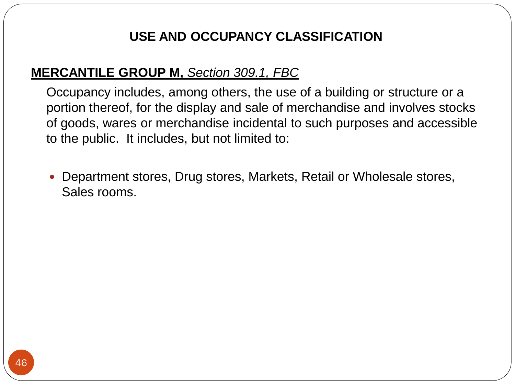**A-4** Assembly uses intended for viewing of indoor sporting events and activities with spectator seating including but not limited to:

Arenas, Skating Rings, Swimming Pools, Tennis Courts

**A-5** Assembly uses intended for participation in or viewing outdoor activities, including but not limited to:

Amusement park structures, bleachers, grandstands, stadiums.

#### **BUSINESS GROUP B,** *Section 304.1, FBC*

Occupancy includes, among others, the use of a building or structure, or a portion thereof, for office, professional or service-type transactions, including storage of records and accounts. These includes but not limited to:

• Banks, Barber and Beauty shops, Car Wash, Post offices, Print shops, Professional Services (architects, attorneys, dentists, physicians, engineers, etc), Animal Hospitals

#### **EDUCATIONAL GROUP E,** *Section 305.1, FBC*

Occupancy includes, among others, the use of a building or structure, or a portion thereof, by six or more persons at any one time for educational purposes through the  $12<sup>th</sup>$  grade. *Section 305.1.1:* Religious educational rooms and religious auditoriums, which are accessory to places of religious worship in accordance with *Section 303.14* and have occupant loads of less than 100, shall be classified as Group A-3 occupancies.

Section 305.2: Group E, daycare facilities. This group includes buildings and structures or portions thereof occupied by more than five children older than 2.5 years of age who receive educational, supervision or personal care services for fewer than 24 hours per day.

Section 305.2.1: Within places of religious worship. Rooms and spaces within places of religious worship providing such daycare during religious functions shall be classified as part of the primary occupancy.

Section 305.2.3: Five or fewer children in a dwelling unit. A facility such as the above within a dwelling unit and having five or fewer children receiving such daycare shall be classified as a Group R-3 occupancy or shall comply with the FBC, Residential.

## **FACTORY GROUP F,** *Section 306.1, FBC*

Occupancy includes, among others, the use of a building or structure, or a portion thereof, for assembling, disassembling, fabricating, finishing, manufacturing, packaging, repair or processing operations that are not classified as a Group H Hazardous or Group S Storage occupancy.

**FACTORY INDUSTRIAL F-1 MODERATE-HAZARD** occupancy uses which are not classified as Factory Industrial F-2 low Hazard shall be classified as F-1 Moderate Hazard and shall include, but not limited to:

Appliances, Bakeries, Bicycles, Boats, Business Machines, Clothing, Electric generation plants.

**FACTORY INDUSTRIAL F-2 LOW-HAZARD** occupancy uses that involve the fabrication or manufacturing of non-combustible materials which during finishing, packing or processing do not include a significant fire hazard. These includes, but not limited to: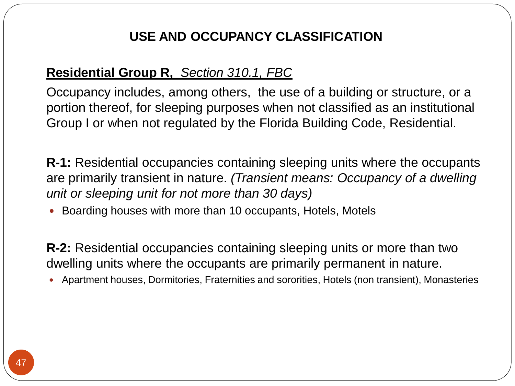Beverages: up to and including 16% alcohol content, Brick and Masonry, Ceramic products, Glass products, Gypsum, Ice.

### **HIGH-HAZARD GROUP H,** *Section 307.1, FBC*

occupancy includes, among others, the use of a building or structure, or a portion thereof, that involves the manufacturing, processing, generation or storage of materials that constitute a physical or health hazard in quantities in excess of those allowed in control areas. Hazardous occupancies are classified in Groups H-1, H-2, H-3, H-4, and H-5, and shall be in accordance with this section, the requirements of Section 415 and the Florida Fire Prevention Code.

**H-1**: Buildings and structures containing materials that pose a detonation hazard.

**H-2**: Buildings and structures containing materials that pose a deflagration hazard or a hazard from accelerated burning.

**H-3:** Buildings and structures containing materials that readily support combustion or that pose a physical hazard.

**H-4:** Buildings and structures which contains materials that are health hazards

Corrosives, High toxic materials, toxic materials

**H-5:** Semiconductor fabrication facilities and comparable research and development areas in which hazardous production materials are used.

## **INSTITUTIONAL GROUP I,** *Section 308.1, FBC*

Occupancy includes, among others, the use of a building or structure, or a portion thereof, in which care or supervision is provided to persons who are or are not capable of self-preservation without physical assistance, or in which people are detained for penal or correctional purposes or in which the liberty of the occupants is restricted. Institutional occupancies are classified as Group I-1, I-2, I-3, or I-4.

**Group I-1:** Occupancy includes buildings, structures or portion thereof for more than 16 persons who reside on a 24 hour basis in a supervised environment. The persons receiving care are capable of self preservation and receive custodial care. These include, but not limited to:

Alcohol and drug centers, Group homes, Halfway houses, Assisted living facilities.

**Group I-2:** Occupancy includes buildings and structures used for medical care on a 24 hour basis for more than five persons who are incapable of self preservation. These includes, but not limited to:

Foster care facilities, Hospitals, Psychiatric hospitals, Nursing homes.

**Group I-3:** Occupancy includes buildings and structures that are inhabited by more than five persons who are under restraint or security. An I-3 facility is occupied by persons who are generally incapable of self preservation due to security measures not under the occupant's control. These include, but not limited to:

Correctional centers, Detention centers, Prisons, Reformatories, Jails

**Group I-4**: This group shall include buildings and structures occupied by more than five persons of any age who receive custodial care for fewer than 24 hours per day by persons other than parents or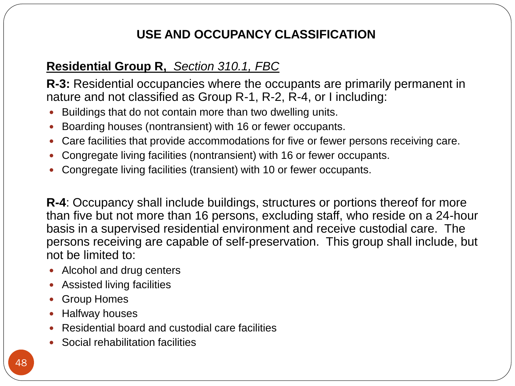guardians, relatives by blood, marriage or adoption, and in a place other than the home of the person cared for. This includes, but not limited to:

- Adult daycare
- Child daycare

## **MERCANTILE GROUP M,** *Section 309.1, FBC*

Occupancy includes, among others, the use of a building or structure or a portion thereof, for the display and sale of merchandise and involves stocks of goods, wares or merchandise incidental to such purposes and accessible to the public. It includes, but not limited to:

Department stores, Drug stores, Markets, Retail or Wholesale stores, Sales rooms.

### **Residential Group R,** *Section 310.1, FBC*

Occupancy includes, among others, the use of a building or structure, or a portion thereof, for sleeping purposes when not classified as an institutional Group I or when not regulated by the Florida Building Code, Residential.

**R-1:** Residential occupancies containing sleeping units where the occupants are primarily transient in nature. *(Transient means: Occupancy of a dwelling unit or sleeping unit for not more than 30 days)*

Boarding houses with more than 10 occupants, Hotels, Motels

**R-2:** Residential occupancies containing sleeping units or more than two dwelling units where the occupants are primarily permanent in nature.

Apartment houses, Dormitories, Fraternities and sororities, Hotels (non transient), Monasteries

**R-3:** Residential occupancies where the occupants are primarily permanent in nature and not classified as Group R-1, R-2, R-4, or I including:

- Buildings that do not contain more than two dwelling units.
- Boarding houses (nontransient) with 16 or fewer occupants.
- Care facilities that provide accommodations for five or fewer persons receiving care.
- Congregate living facilities (nontransient) with 16 or fewer occupants.
- Congregate living facilities (transient) with 10 or fewer occupants.

R-4: Occupancy shall include buildings, structures or portions thereof for more than five but not more than 16 persons, excluding staff, who reside on a 24-hour basis in a supervised residential environment and receive custodial care. The persons receiving are capable of self-preservation. This group shall include, but not be limited to:

- Alcohol and drug centers
- Assisted living facilities
- **•** Group Homes
- Halfway houses
- Residential board and custodial care facilities
- Social rehabilitation facilities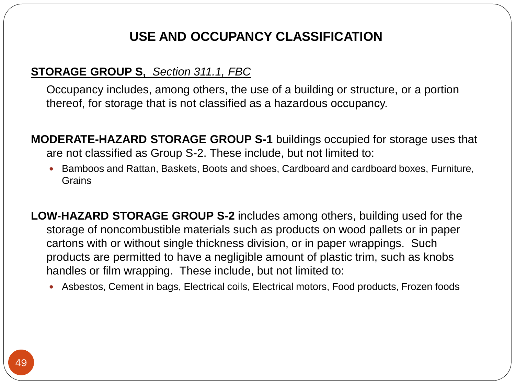## **STORAGE GROUP S,** *Section 311.1, FBC*

Occupancy includes, among others, the use of a building or structure, or a portion thereof, for storage that is not classified as a hazardous occupancy.

**MODERATE-HAZARD STORAGE GROUP S-1** buildings occupied for storage uses that are not classified as Group S-2. These include, but not limited to:

**Bamboos and Rattan, Baskets, Boots and shoes, Cardboard and cardboard boxes, Furniture,** Grains

**LOW-HAZARD STORAGE GROUP S-2** includes among others, building used for the storage of noncombustible materials such as products on wood pallets or in paper cartons with or without single thickness division, or in paper wrappings. Such products are permitted to have a negligible amount of plastic trim, such as knobs handles or film wrapping. These include, but not limited to:

- Asbestos, Cement in bags, Electrical coils, Electrical motors, Food products, Frozen foods
- *(the complete listing can be found on 2010 Florida Building Code Section 311.3)*

## **UTILITY AND MISCELLANEOUS GROUP U,** *Section 312.1, FBC*

Buildings and structures of an accessory character and miscellaneous structures not classified in any specific occupancy shall be constructed, equipped and maintained to conform to the requirements of the Florida Building Code commensurate with the fire and life hazard incidental to their occupancy. These include, but not limited to:

Agricultural buildings, Barns, Carports, Green houses, Private garages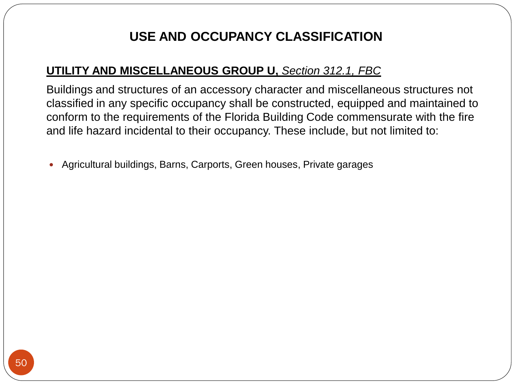#### **Final Test**

## **Permits, Plans, Inspections, and Occupancy Classification Advanced Module Internet**

1. State law requires asbestos abatement to be done by licensed contractors. However, an Owner of a residential building may perform the work of asbestos removal if the Owner:

- A. Personally appears and fills out and signs a building permit application
- B. Does not sell or lease the property within 1 year after the asbestos abatement is complete
- C. Occupies the residential building
- D. Performs the work in accordance with all local, state and federal laws and regulations
- E. All of the above

2. Every permit issued shall become invalid unless the work authorized by such permit is commenced within \_\_\_\_\_\_ months after its issuance.

- A. 4
- B. 5
- C. 6
- D. 2

3. The building permit or copy shall be kept on the quantil the completion of the project.

- A. Contractor's place of business
- B. Owner's place of residence
- C. Job site
- D. None of the above

4. Which chapter in the Florida Statutes is called the "Workers Compensation Law"

- A. Chapter 448
- B. Chapter 489
- C. Chapter 471
- D. Chapter 440

5. Construction documents requiring an engineer seal shall not be valid unless a professional engineer who possesses a valid certificate of registration has:

- A. Signed the documents
- B. Stamped the documents
- C. Dated the documents
- D. Signed, dated, and stamped the documents

6. The meaning of the word *Transient* as used in the occupancy Group R is: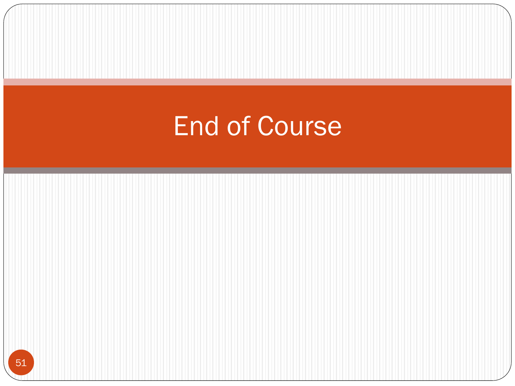A. Occupancy of a dwelling unit or sleeping unit for not more than 30 days.

B. Occupancy of a dwelling unit or sleeping unit for more than 30 days.

C. New construction

D. Partition

7. Any work that changes during construction and are not in compliance with the approved plans:

A. Shall be notified to the inspector during inspection

B. Shall be detailed on the plans and shown to the inspector during inspection

C. Plans shall be resubmitted for review to the Building Department detailing the new changes

D. None of the above

8. A permit issued shall expire in:

A. 4 months

B. 1 month

C. 6 weeks

D. 6 months

9. Work shall be considered to be in **ACTIVE** progress when the permit has received an approved inspection within \_\_\_\_

A. 150 days

B. 45 days

C. 180 days

D. 60 days

10. Where equipment replacements and repairs must be performed in an emergency situation, the permit application shall be submitted within the next working business day to the building official.

A. True

B. False

11. Personnel as authorized by *Section 633.521,Florida Statutes*, may design a fire sprinkler system of 49 or fewer heads.

A. True

B. False

12. As per Section 500.12, Florida Statutes, a food permit from the same state and is required of any person who operates a food establishment or retail store.

A. Dept. of Business and Professional Regulation

B. Dept. of Financial Services

C. Dept. of Agriculture and Consumer Services

D. Dept. of Food, Beverage, and Tabacco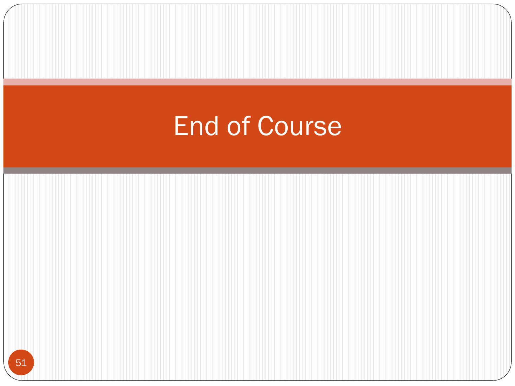13. Whenever permits are issued in reliance upon an affidavit or whenever the work to be covered by a permit involves installation under conditions which, in the opinion of the building official, are hazardous or complex, the building official shall require that the Architect or Engineer who signed such affidavit or prepared the drawings or computations to:

A. Supervise the work

B. Comply to the permit

C. provide copies of inspection reports as inspections are performed

D. upon completion of work, file with the building official written affidavit that the work has been done

in compliance to the reviewed plans and with the structural provisions of the technical codes.

E. All of the above

14. The construction documents to be examined by the Building Official shall include as a minimum:

A. A Floor Plan

- B. A Site Plan
- C. A Foundation Plan
- D. A Floor/Roof framing plan or truss layout
- E. All of the above

15. Once the construction documents are approved by the building official, one set shall be kept in the\_\_\_\_\_\_\_\_\_\_ and another to be kept on the\_\_\_\_\_\_\_\_\_\_\_\_\_ for inspections.

A. County Clerk of Courts, Building Department

B. Building Department, Project Site

C. County Clerk of Courts, Project Site

D. Building Department, Contractor's place of business

16. The licensee, certificate holder, or registrant may dispute material violation within

- A. 15 Days
- B. 30 Days
- C. 10 Days
- D. 45 Days

17. Who is responsible for notifying the building official that a work is ready for inspection?

- A. Architect B. Engineer C. Permit Holder
- D. Workers

18. Jails, Prisons, and Detention Centers fall under which occupancy group?

A. Institutional; Group I-3 B. Factory; F-1 C. Business D. Storage; S-2